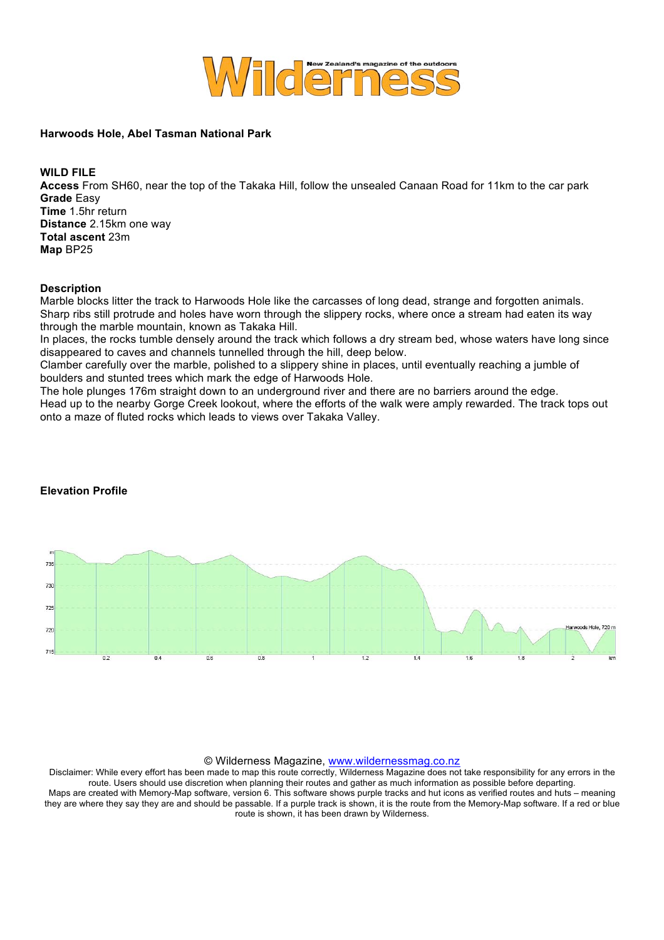

## **Harwoods Hole, Abel Tasman National Park**

**WILD FILE**

**Access** From SH60, near the top of the Takaka Hill, follow the unsealed Canaan Road for 11km to the car park **Grade** Easy **Time** 1.5hr return **Distance** 2.15km one way **Total ascent** 23m **Map** BP25

## **Description**

Marble blocks litter the track to Harwoods Hole like the carcasses of long dead, strange and forgotten animals. Sharp ribs still protrude and holes have worn through the slippery rocks, where once a stream had eaten its way through the marble mountain, known as Takaka Hill.

In places, the rocks tumble densely around the track which follows a dry stream bed, whose waters have long since disappeared to caves and channels tunnelled through the hill, deep below.

Clamber carefully over the marble, polished to a slippery shine in places, until eventually reaching a jumble of boulders and stunted trees which mark the edge of Harwoods Hole.

The hole plunges 176m straight down to an underground river and there are no barriers around the edge. Head up to the nearby Gorge Creek lookout, where the efforts of the walk were amply rewarded. The track tops out onto a maze of fluted rocks which leads to views over Takaka Valley.



## **Elevation Profile**

## © Wilderness Magazine, www.wildernessmag.co.nz

Disclaimer: While every effort has been made to map this route correctly, Wilderness Magazine does not take responsibility for any errors in the route. Users should use discretion when planning their routes and gather as much information as possible before departing. Maps are created with Memory-Map software, version 6. This software shows purple tracks and hut icons as verified routes and huts – meaning they are where they say they are and should be passable. If a purple track is shown, it is the route from the Memory-Map software. If a red or blue route is shown, it has been drawn by Wilderness.